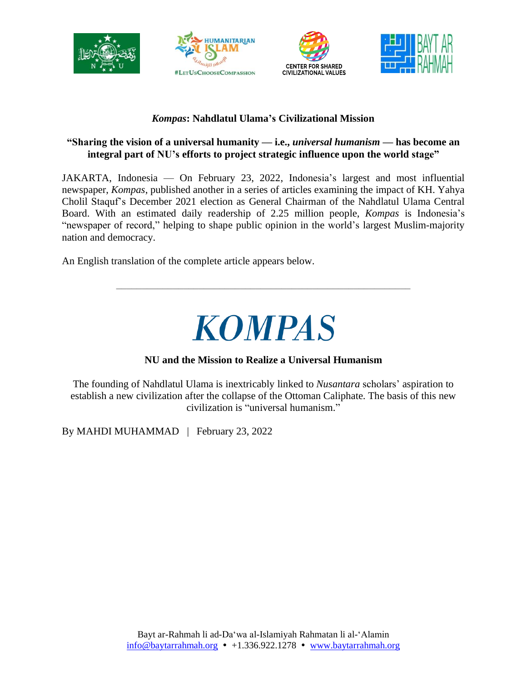







## *Kompas***: Nahdlatul Ulama's Civilizational Mission**

### **"Sharing the vision of a universal humanity — i.e.,** *universal humanism* **— has become an integral part of NU's efforts to project strategic influence upon the world stage"**

JAKARTA, Indonesia — On February 23, 2022, Indonesia's largest and most influential newspaper, *Kompas*, published another in a series of articles examining the impact of KH. Yahya Cholil Staquf's December 2021 election as General Chairman of the Nahdlatul Ulama Central Board. With an estimated daily readership of 2.25 million people, *Kompas* is Indonesia's "newspaper of record," helping to shape public opinion in the world's largest Muslim-majority nation and democracy.

An English translation of the complete article appears below.

# **KOMPAS**

\_\_\_\_\_\_\_\_\_\_\_\_\_\_\_\_\_\_\_\_\_\_\_\_\_\_\_\_\_\_\_\_\_\_\_\_\_\_\_\_\_\_\_\_\_\_\_\_\_\_\_\_\_\_\_\_\_

## **NU and the Mission to Realize a Universal Humanism**

The founding of Nahdlatul Ulama is inextricably linked to *Nusantara* scholars' aspiration to establish a new civilization after the collapse of the Ottoman Caliphate. The basis of this new civilization is "universal humanism."

By MAHDI MUHAMMAD | February 23, 2022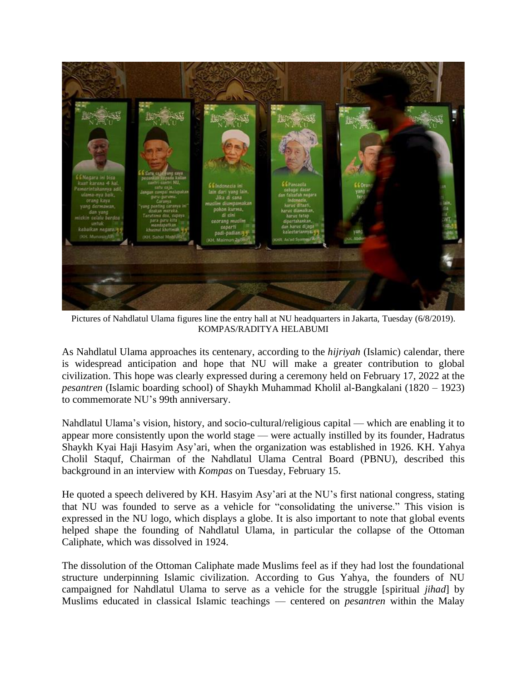

Pictures of Nahdlatul Ulama figures line the entry hall at NU headquarters in Jakarta, Tuesday (6/8/2019). KOMPAS/RADITYA HELABUMI

As Nahdlatul Ulama approaches its centenary, according to the *hijriyah* (Islamic) calendar, there is widespread anticipation and hope that NU will make a greater contribution to global civilization. This hope was clearly expressed during a ceremony held on February 17, 2022 at the *pesantren* (Islamic boarding school) of Shaykh Muhammad Kholil al-Bangkalani (1820 – 1923) to commemorate NU's 99th anniversary.

Nahdlatul Ulama's vision, history, and socio-cultural/religious capital — which are enabling it to appear more consistently upon the world stage — were actually instilled by its founder, Hadratus Shaykh Kyai Haji Hasyim Asy'ari, when the organization was established in 1926. KH. Yahya Cholil Staquf, Chairman of the Nahdlatul Ulama Central Board (PBNU), described this background in an interview with *Kompas* on Tuesday, February 15.

He quoted a speech delivered by KH. Hasyim Asy'ari at the NU's first national congress, stating that NU was founded to serve as a vehicle for "consolidating the universe." This vision is expressed in the NU logo, which displays a globe. It is also important to note that global events helped shape the founding of Nahdlatul Ulama, in particular the collapse of the Ottoman Caliphate, which was dissolved in 1924.

The dissolution of the Ottoman Caliphate made Muslims feel as if they had lost the foundational structure underpinning Islamic civilization. According to Gus Yahya, the founders of NU campaigned for Nahdlatul Ulama to serve as a vehicle for the struggle [spiritual *jihad*] by Muslims educated in classical Islamic teachings — centered on *pesantren* within the Malay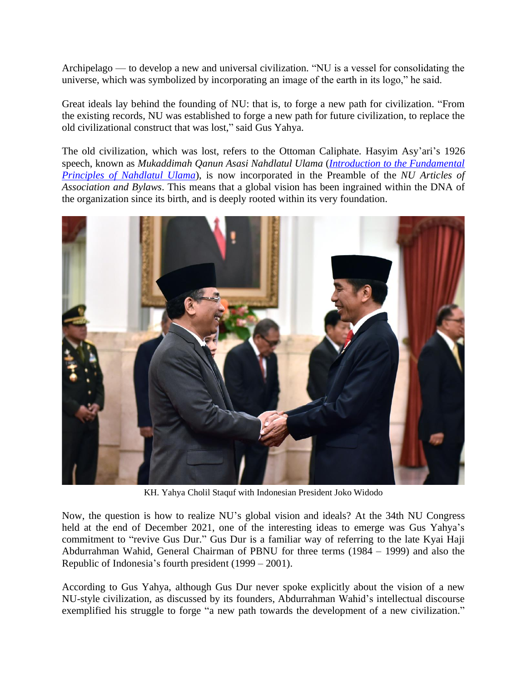Archipelago — to develop a new and universal civilization. "NU is a vessel for consolidating the universe, which was symbolized by incorporating an image of the earth in its logo," he said.

Great ideals lay behind the founding of NU: that is, to forge a new path for civilization. "From the existing records, NU was established to forge a new path for future civilization, to replace the old civilizational construct that was lost," said Gus Yahya.

The old civilization, which was lost, refers to the Ottoman Caliphate. Hasyim Asy'ari's 1926 speech, known as *Mukaddimah Qanun Asasi Nahdlatul Ulama* (*Introduction to the [Fundamental](https://baytarrahmah.org/about-us/Introduction-to-the-Fundamental-Principles-of-Nahdlatul-Ulama.pdf) [Principles](https://baytarrahmah.org/about-us/Introduction-to-the-Fundamental-Principles-of-Nahdlatul-Ulama.pdf) of Nahdlatul Ulama*), is now incorporated in the Preamble of the *NU Articles of Association and Bylaws*. This means that a global vision has been ingrained within the DNA of the organization since its birth, and is deeply rooted within its very foundation.



KH. Yahya Cholil Staquf with Indonesian President Joko Widodo

Now, the question is how to realize NU's global vision and ideals? At the 34th NU Congress held at the end of December 2021, one of the interesting ideas to emerge was Gus Yahya's commitment to "revive Gus Dur." Gus Dur is a familiar way of referring to the late Kyai Haji Abdurrahman Wahid, General Chairman of PBNU for three terms (1984 – 1999) and also the Republic of Indonesia's fourth president (1999 – 2001).

According to Gus Yahya, although Gus Dur never spoke explicitly about the vision of a new NU-style civilization, as discussed by its founders, Abdurrahman Wahid's intellectual discourse exemplified his struggle to forge "a new path towards the development of a new civilization."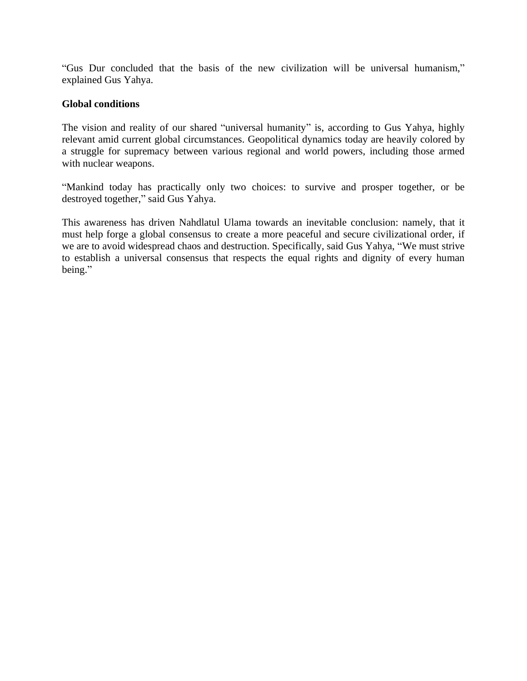"Gus Dur concluded that the basis of the new civilization will be universal humanism," explained Gus Yahya.

#### **Global conditions**

The vision and reality of our shared "universal humanity" is, according to Gus Yahya, highly relevant amid current global circumstances. Geopolitical dynamics today are heavily colored by a struggle for supremacy between various regional and world powers, including those armed with nuclear weapons.

"Mankind today has practically only two choices: to survive and prosper together, or be destroyed together," said Gus Yahya.

This awareness has driven Nahdlatul Ulama towards an inevitable conclusion: namely, that it must help forge a global consensus to create a more peaceful and secure civilizational order, if we are to avoid widespread chaos and destruction. Specifically, said Gus Yahya, "We must strive to establish a universal consensus that respects the equal rights and dignity of every human being."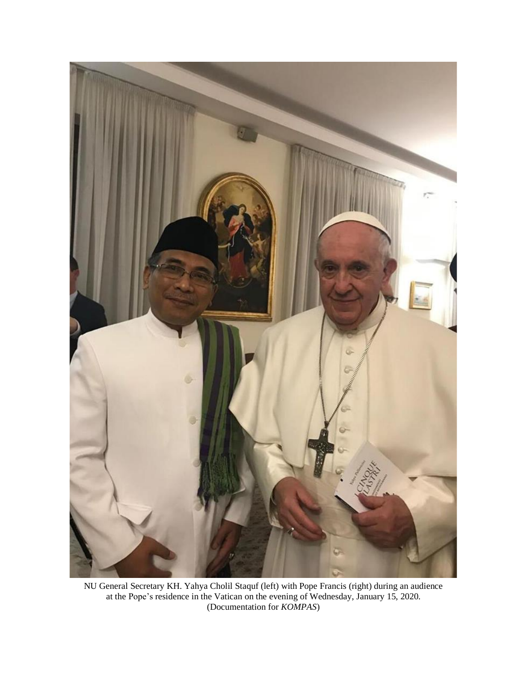

NU General Secretary KH. Yahya Cholil Staquf (left) with Pope Francis (right) during an audience at the Pope's residence in the Vatican on the evening of Wednesday, January 15, 2020. (Documentation for *KOMPAS*)